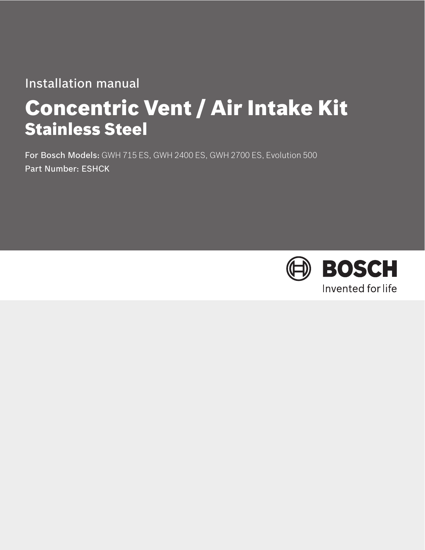# Installation manual

# Concentric Vent / Air Intake Kit Stainless Steel

For Bosch Models: GWH 715 ES, GWH 2400 ES, GWH 2700 ES, Evolution 500 Part Number: ESHCK

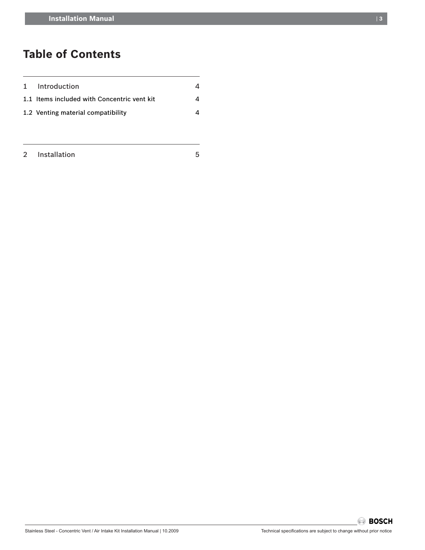## **Table of Contents**

| 1 Introduction                              |   |
|---------------------------------------------|---|
| 1.1 Items included with Concentric vent kit | Λ |
| 1.2 Venting material compatibility          | Λ |

| $\sim$ | <b>Installation</b> |  |
|--------|---------------------|--|
|--------|---------------------|--|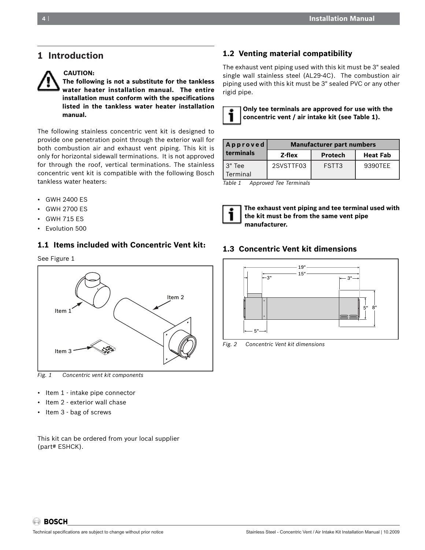## **1 Introduction**



**CAUTION:**

**The following is not a substitute for the tankless water heater installation manual. The entire installation must conform with the specifications listed in the tankless water heater installation manual.**

The following stainless concentric vent kit is designed to provide one penetration point through the exterior wall for both combustion air and exhaust vent piping. This kit is only for horizontal sidewall terminations. It is not approved for through the roof, vertical terminations. The stainless concentric vent kit is compatible with the following Bosch tankless water heaters:

- GWH 2400 ES
- GWH 2700 ES
- GWH 715 ES
- Evolution 500

#### **1.1 Items included with Concentric Vent kit:**

See Figure 1



*Fig. 1 Concentric vent kit components* 

- Item 1 intake pipe connector
- Item 2 exterior wall chase
- Item 3 bag of screws

This kit can be ordered from your local supplier (part# ESHCK).

#### **1.2 Venting material compatibility**

The exhaust vent piping used with this kit must be 3" sealed single wall stainless steel (AL29-4C). The combustion air piping used with this kit must be 3" sealed PVC or any other rigid pipe.



| Approved            | <b>Manufacturer part numbers</b> |                |                 |  |
|---------------------|----------------------------------|----------------|-----------------|--|
| terminals           | Z-flex                           | <b>Protech</b> | <b>Heat Fab</b> |  |
| 13" Tee<br>Terminal | 2SVSTTF03                        | FSTT3          | 9390TFF         |  |

*Table 1 Approved Tee Terminals*



 **The exhaust vent piping and tee terminal used with the kit must be from the same vent pipe manufacturer.**

#### **1.3 Concentric Vent kit dimensions**



*Fig. 2 Concentric Vent kit dimensions*

**BOSCH**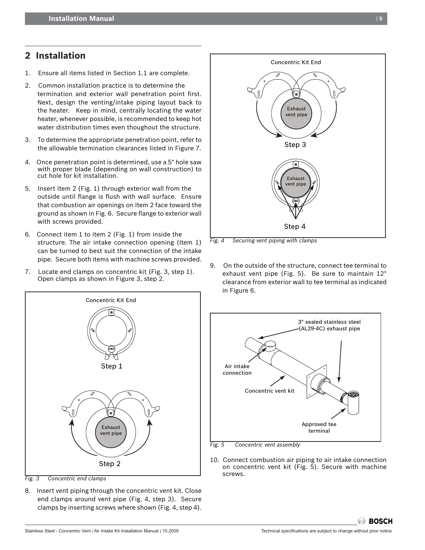## **2 Installation**

- 1. Ensure all items listed in Section 1.1 are complete.
- 2. Common installation practice is to determine the termination and exterior wall penetration point first. Next, design the venting/intake piping layout back to the heater. Keep in mind, centrally locating the water heater, whenever possible, is recommended to keep hot water distribution times even thoughout the structure.
- 3. To determine the appropriate penetration point, refer to the allowable termination clearances listed in Figure 7.
- 4. Once penetration point is determined, use a 5" hole saw with proper blade (depending on wall construction) to cut hole for kit installation.
- 5. Insert Item 2 (Fig. 1) through exterior wall from the outside until flange is flush with wall surface. Ensure that combustion air openings on Item 2 face toward the ground as shown in Fig. 6. Secure flange to exterior wall with screws provided.
- 6.   Connect item 1 to item 2 (Fig. 1) from inside the structure. The air intake connection opening (Item 1) can be turned to best suit the connection of the intake pipe. Secure both items with machine screws provided.
- 7. Locate end clamps on concentric kit (Fig. 3, step 1). Open clamps as shown in Figure 3, step 2.



*Fig. 3 Concentric end clamps*

8. Insert vent piping through the concentric vent kit. Close end clamps around vent pipe (Fig. 4, step 3). Secure clamps by inserting screws where shown (Fig. 4, step 4).



*Fig. 4 Securing vent piping with clamps*

9. On the outside of the structure, connect tee terminal to exhaust vent pipe (Fig. 5). Be sure to maintain 12" clearance from exterior wall to tee terminal as indicated in Figure 6.



10. Connect combustion air piping to air intake connection on concentric vent kit (Fig. 5). Secure with machine screws.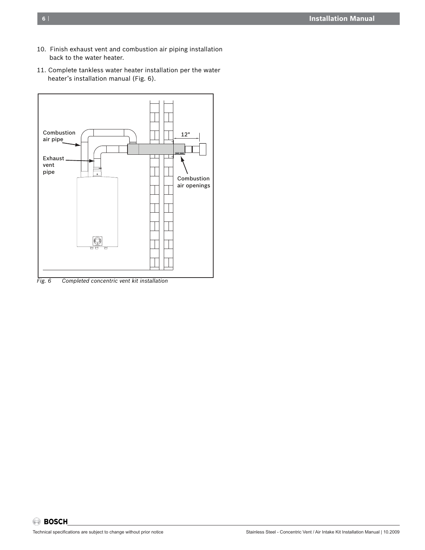- 10. Finish exhaust vent and combustion air piping installation back to the water heater.
- 11. Complete tankless water heater installation per the water heater's installation manual (Fig. 6).



*Fig. 6 Completed concentric vent kit installation*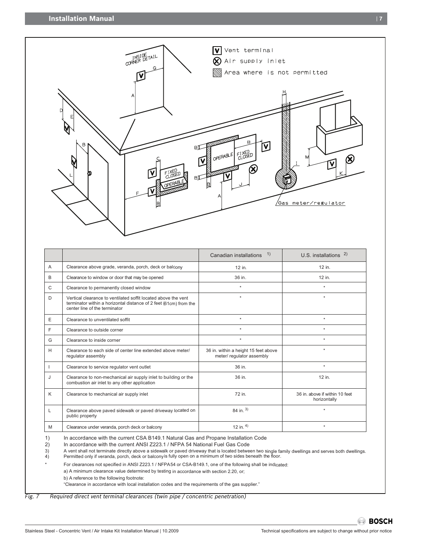

|   |                                                                                                                                                                      | 1)<br>Canadian installations                                      | U.S. installations $^{2)}$                     |
|---|----------------------------------------------------------------------------------------------------------------------------------------------------------------------|-------------------------------------------------------------------|------------------------------------------------|
| A | Clearance above grade, veranda, porch, deck or balcony                                                                                                               | 12 in.                                                            | 12 in.                                         |
| B | Clearance to window or door that may be opened                                                                                                                       | 36 in.                                                            | 12 in.                                         |
| C | Clearance to permanently closed window                                                                                                                               | $\star$                                                           | $\ddot{\phantom{1}}$                           |
| D | Vertical clearance to ventilated soffit located above the vent<br>terminator within a horizontal distance of 2 feet (61cm) from the<br>center line of the terminator | $\star$                                                           | $\star$                                        |
| E | Clearance to unventilated soffit                                                                                                                                     | $\star$                                                           | $\star$                                        |
| F | Clearance to outside corner                                                                                                                                          | $\star$                                                           | $\star$                                        |
| G | Clearance to inside corner                                                                                                                                           | $\star$                                                           | $\star$                                        |
| H | Clearance to each side of center line extended above meter/<br>regulator assembly                                                                                    | 36 in. within a height 15 feet above<br>meter/ regulator assembly | $\star$                                        |
|   | Clearance to service regulator vent outlet                                                                                                                           | 36 in.                                                            | $\star$                                        |
| J | Clearance to non-mechanical air supply inlet to building or the<br>combustion air inlet to any other application                                                     | 36 in.                                                            | 12 in.                                         |
| K | Clearance to mechanical air supply inlet                                                                                                                             | 72 in.                                                            | 36 in. above if within 10 feet<br>horizontally |
| L | Clearance above paved sidewalk or paved driveway located on<br>public property                                                                                       | 84 in. $3)$                                                       | $^\star$                                       |
| M | Clearance under veranda, porch deck or balcony                                                                                                                       | 12 in. $4)$                                                       | $\star$                                        |

1) In accordance with the current CSA B149.1 Natural Gas and Propane Installation Code<br>2) In accordance with the current ANSI Z223.1 / NFPA 54 National Fuel Gas Code

2) In accordance with the current ANSI Z223.1 / NFPA 54 National Fuel Gas Code<br>3) A vent shall not terminate directly above a sidewalk or paved driveway that is located betwee<br>4) Permitted only if veranda, porch, deck or b A vent shall not terminate directly above a sidewalk or paved driveway that is located between two single family dwellings and serves both dwellings. Permitted only if veranda, porch, deck or balcony is fully open on a minimum of two sides beneath the floor.

For clearances not specified in ANSI Z223.1 / NFPA54 or CSA-B149.1, one of the following shall be indicated:

a) A minimum clearance value determined by testing in accordance with section 2.20, or;

b) A reference to the following footnote:

"Clearance in accordance with local installation codes and the requirements of the gas supplier."

*Fig. 7 Required direct vent terminal clearances (twin pipe / concentric penetration)*